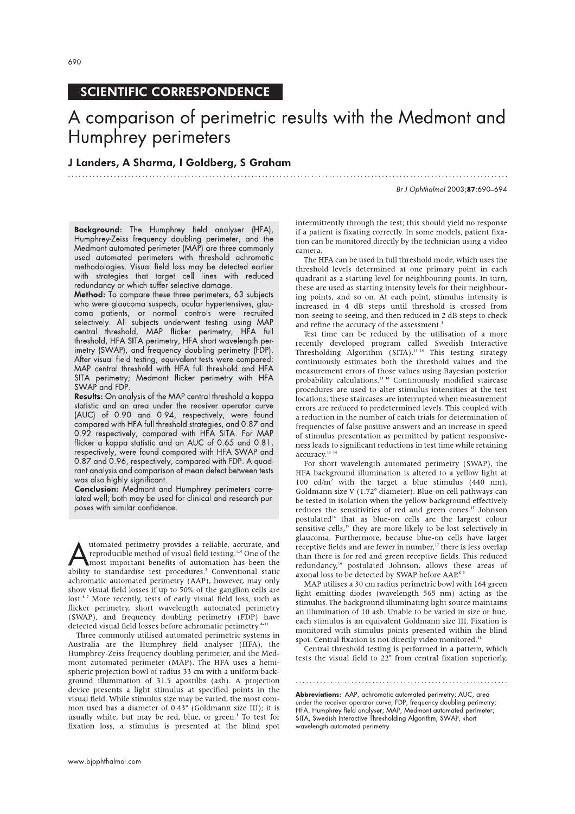# **SCIENTIFIC CORRESPONDENCE**

# A comparison of perimetric results with the Medmont and Humphrey perimeters

## J Landers, A Sharma, I Goldberg, S Graham

Br J Ophthalmol 2003;87:690-694

Background: The Humphrey field analyser (HFA), Humphrey-Zeiss frequency doubling perimeter, and the<br>Medmont automated perimeter (MAP) are three commonly used automated perimeters with threshold achromatic methodologies. Visual field loss may be detected earlier<br>with strategies that target cell lines with reduced redundancy or which suffer selective damage.

Method: To compare these three perimeters, 63 subjects who were glaucoma suspects, ocular hypertensives, glau-<br>coma patients, or normal controls were recruited selectively. All subjects underwent testing using MAP central threshold, MAP flicker perimetry, HFA full<br>threshold, HFA SITA perimetry, HFA short wavelength perimetry (SWAP), and frequency doubling perimetry (FDP). After visual field testing, equivalent tests were compared: MAP central threshold with HFA full threshold and HFA SITA perimetry; Medmont flicker perimetry with HFA SWAP and FDP.

Results: On analysis of the MAP central threshold a kappa statistic and an area under the receiver operator curve (AUC) of 0.90 and 0.94, respectively, were found compared with HFA full threshold strategies, and 0.87 and 0.92 respectively, compared with HFA SITA. For MAP flicker a kappa statistic and an AUC of 0.65 and 0.81. respectively, were found compared with HFA SWAP and 0.87 and 0.96, respectively, compared with FDP. A quadrant analysis and comparison of mean defect between tests was also highly significant.

Conclusion: Medmont and Humphrey perimeters correlated well; both may be used for clinical and research purposes with similar confidence.

utomated perimetry provides a reliable, accurate, and reproducible method of visual field testing.<sup>1-4</sup> One of the most important benefits of automation has been the ability to standardise test procedures.<sup>5</sup> Conventional static achromatic automated perimetry (AAP), however, may only show visual field losses if up to 50% of the ganglion cells are lost.<sup>67</sup> More recently, tests of early visual field loss, such as flicker perimetry, short wavelength automated perimetry (SWAP), and frequency doubling perimetry (FDP) have detected visual field losses before achromatic perimetry.<sup>8-12</sup>

Three commonly utilised automated perimetric systems in Australia are the Humphrey field analyser (HFA), the Humphrey-Zeiss frequency doubling perimeter, and the Medmont automated perimeter (MAP). The HFA uses a hemispheric projection bowl of radius 33 cm with a uniform background illumination of 31.5 apostilbs (asb). A projection device presents a light stimulus at specified points in the visual field. While stimulus size may be varied, the most common used has a diameter of  $0.43^{\circ}$  (Goldmann size III); it is usually white, but may be red, blue, or green.<sup>1</sup> To test for fixation loss, a stimulus is presented at the blind spot intermittently through the test; this should yield no response if a patient is fixating correctly. In some models, patient fixation can be monitored directly by the technician using a video camera.

The HFA can be used in full threshold mode, which uses the threshold levels determined at one primary point in each quadrant as a starting level for neighbouring points. In turn, these are used as starting intensity levels for their neighbouring points, and so on. At each point, stimulus intensity is increased in 4 dB steps until threshold is crossed from non-seeing to seeing, and then reduced in 2 dB steps to check and refine the accuracy of the assessment.<sup>1</sup>

Test time can be reduced by the utilisation of a more recently developed program called Swedish Interactive<br>Thresholding Algorithm (SITA).<sup>13,14</sup> This testing strategy continuously estimates both the threshold values and the measurement errors of those values using Bayesian posterior probability calculations.<sup>13</sup> <sup>14</sup> Continuously modified staircase procedures are used to alter stimulus intensities at the test locations; these staircases are interrupted when measurement errors are reduced to predetermined levels. This coupled with a reduction in the number of catch trials for determination of frequencies of false positive answers and an increase in speed of stimulus presentation as permitted by patient responsiveness leads to significant reductions in test time while retaining accuracy.<sup>13</sup><sup>14</sup>

For short wavelength automated perimetry (SWAP), the HFA background illumination is altered to a yellow light at 100  $cd/m^2$  with the target a blue stimulus (440 nm), Goldmann size V (1.72° diameter). Blue-on cell pathways can be tested in isolation when the yellow background effectively reduces the sensitivities of red and green cones.<sup>15</sup> Johnson postulated<sup>16</sup> that as blue-on cells are the largest colour sensitive cells,<sup>17</sup> they are more likely to be lost selectively in glaucoma. Furthermore, because blue-on cells have larger receptive fields and are fewer in number,<sup>17</sup> there is less overlap than there is for red and green receptive fields. This reduced redundancy,<sup>16</sup> postulated Johnson, allows these areas of axonal loss to be detected by SWAP before AAP.<sup>8</sup>

MAP utilises a 30 cm radius perimetric bowl with 164 green light emitting diodes (wavelength 565 nm) acting as the stimulus. The background illuminating light source maintains an illumination of 10 asb. Unable to be varied in size or hue, each stimulus is an equivalent Goldmann size III. Fixation is monitored with stimulus points presented within the blind spot. Central fixation is not directly video monitored.<sup>18</sup>

Central threshold testing is performed in a pattern, which tests the visual field to 22° from central fixation superiorly,

Abbreviations: AAP, achromatic automated perimetry; AUC, area under the receiver operator curve; FDP, frequency doubling perimetry; HFA, Humphrey field analyser; MAP, Medmont automated perimeter; SITA, Swedish Interactive Thresholding Algorithm; SWAP, short wavelength automated perimetry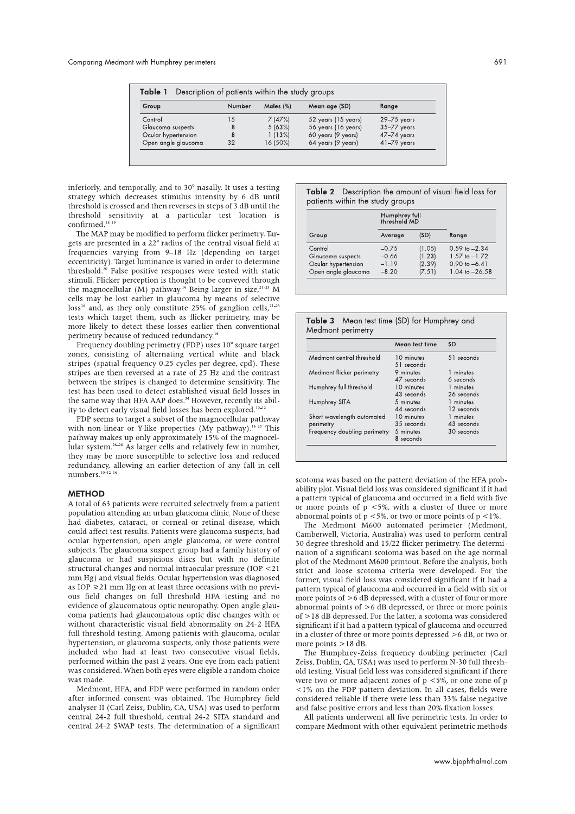| Group               | Number | Males $(\%)$ | Mean age (SD)       | Range           |
|---------------------|--------|--------------|---------------------|-----------------|
| Control             | 15     | 7(47%)       | 52 years (15 years) | $29 - 75$ years |
| Glaucoma suspects   | 8      | 5 (63%)      | 56 years (16 years) | $35 - 77$ years |
| Ocular hypertension | 8      | 1(13%)       | 60 years (9 years)  | 47-74 years     |
| Open angle glaucoma | 32     | 16 (50%)     | 64 years (9 years)  | $41-79$ years   |

inferiorly, and temporally, and to 30° nasally. It uses a testing strategy which decreases stimulus intensity by 6 dB until threshold is crossed and then reverses in steps of 3 dB until the threshold sensitivity at a particular test location is confirmed.<sup>18</sup>

The MAP may be modified to perform flicker perimetry. Targets are presented in a 22° radius of the central visual field at frequencies varying from 9-18 Hz (depending on target eccentricity). Target luminance is varied in order to determine<br>threshold.<sup>20</sup> False positive responses were tested with static stimuli. Flicker perception is thought to be conveyed through the magnocellular (M) pathway.<sup>16</sup> Being larger in size,<sup>21-23</sup> M cells may be lost earlier in glaucoma by means of selective loss<sup>16</sup> and, as they only constitute 25% of ganglion cells,<sup>21-23</sup> tests which target them, such as flicker perimetry, may be more likely to detect these losses earlier then conventional perimetry because of reduced redundancy.<sup>16</sup>

Frequency doubling perimetry (FDP) uses 10° square target zones, consisting of alternating vertical white and black stripes (spatial frequency 0.25 cycles per degree, cpd). These stripes are then reversed at a rate of 25 Hz and the contrast between the stripes is changed to determine sensitivity. The test has been used to detect established visual field losses in the same way that HFA AAP does.<sup>24</sup> However, recently its ability to detect early visual field losses has been explored.<sup>10-12</sup>

FDP seems to target a subset of the magnocellular pathway with non-linear or Y-like properties (My pathway).<sup>16-25</sup> This pathway makes up only approximately 15% of the magnocellular system.<sup>26-28</sup> As larger cells and relatively few in number, they may be more susceptible to selective loss and reduced redundancy, allowing an earlier detection of any fall in cell numbers.<sup>10-12</sup>

#### **METHOD**

A total of 63 patients were recruited selectively from a patient population attending an urban glaucoma clinic. None of these had diabetes, cataract, or corneal or retinal disease, which could affect test results. Patients were glaucoma suspects, had ocular hypertension, open angle glaucoma, or were control subjects. The glaucoma suspect group had a family history of glaucoma or had suspicious discs but with no definite structural changes and normal intraocular pressure (IOP <21 mm Hg) and visual fields. Ocular hypertension was diagnosed as  $IOP \ge 21$  mm Hg on at least three occasions with no previous field changes on full threshold HFA testing and no evidence of glaucomatous optic neuropathy. Open angle glaucoma patients had glaucomatous optic disc changes with or without characteristic visual field abnormality on 24-2 HFA full threshold testing. Among patients with glaucoma, ocular hypertension, or glaucoma suspects, only those patients were included who had at least two consecutive visual fields, performed within the past 2 years. One eye from each patient was considered. When both eyes were eligible a random choice was made.

Medmont, HFA, and FDP were performed in random order after informed consent was obtained. The Humphrey field analyser II (Carl Zeiss, Dublin, CA, USA) was used to perform central 24-2 full threshold, central 24-2 SITA standard and central 24-2 SWAP tests. The determination of a significant

#### Table 2 Description the amount of visual field loss for patients within the study groups

|                     | Humphrey full<br>threshold MD |        |                    |  |
|---------------------|-------------------------------|--------|--------------------|--|
| Group               | Average                       | (SD)   | Range              |  |
| Control             | $-0.75$                       | (1.05) | $0.59$ to $-2.34$  |  |
| Glaucoma suspects   | $-0.66$                       | (1.23) | $1.57$ to $-1.72$  |  |
| Ocular hypertension | $-1.19$                       | (2.39) | $0.90$ to $-6.41$  |  |
| Open angle glaucoma | $-8.20$                       | (7.51) | $1.04$ to $-26.58$ |  |

|                   | <b>Table 3</b> Mean test time (SD) for Humphrey and |  |  |
|-------------------|-----------------------------------------------------|--|--|
| Medmont perimetry |                                                     |  |  |

|                                         | Mean test time           | SD                      |
|-----------------------------------------|--------------------------|-------------------------|
| Medmont central threshold               | 10 minutes<br>51 seconds | 51 seconds              |
| Medmont flicker perimetry               | 9 minutes<br>47 seconds  | minutes<br>6 seconds    |
| Humphrey full threshold                 | 10 minutes<br>43 seconds | 1 minutes<br>26 seconds |
| Humphrey SITA                           | 5 minutes<br>44 seconds  | 1 minutes<br>12 seconds |
| Short wavelength automated<br>perimetry | 10 minutes<br>35 seconds | 1 minutes<br>43 seconds |
| Frequency doubling perimetry            | 5 minutes<br>8 seconds   | 30 seconds              |

scotoma was based on the pattern deviation of the HFA probability plot. Visual field loss was considered significant if it had a pattern typical of glaucoma and occurred in a field with five or more points of  $p \le 5\%$ , with a cluster of three or more abnormal points of  $p \le 5\%$ , or two or more points of  $p \le 1\%$ .

The Medmont M600 automated perimeter (Medmont, Camberwell, Victoria, Australia) was used to perform central 30 degree threshold and 15/22 flicker perimetry. The determination of a significant scotoma was based on the age normal plot of the Medmont M600 printout. Before the analysis, both strict and loose scotoma criteria were developed. For the former, visual field loss was considered significant if it had a pattern typical of glaucoma and occurred in a field with six or more points of  $>6$  dB depressed, with a cluster of four or more abnormal points of  $>6$  dB depressed, or three or more points of >18 dB depressed. For the latter, a scotoma was considered significant if it had a pattern typical of glaucoma and occurred in a cluster of three or more points depressed  $>6$  dB, or two or more points  $>18$  dB.

The Humphrey-Zeiss frequency doubling perimeter (Carl Zeiss, Dublin, CA, USA) was used to perform N-30 full threshold testing. Visual field loss was considered significant if there were two or more adjacent zones of  $p \le 5\%$ , or one zone of  $p$  $<1\%$  on the FDP pattern deviation. In all cases, fields were considered reliable if there were less than 33% false negative and false positive errors and less than 20% fixation losses.

All patients underwent all five perimetric tests. In order to compare Medmont with other equivalent perimetric methods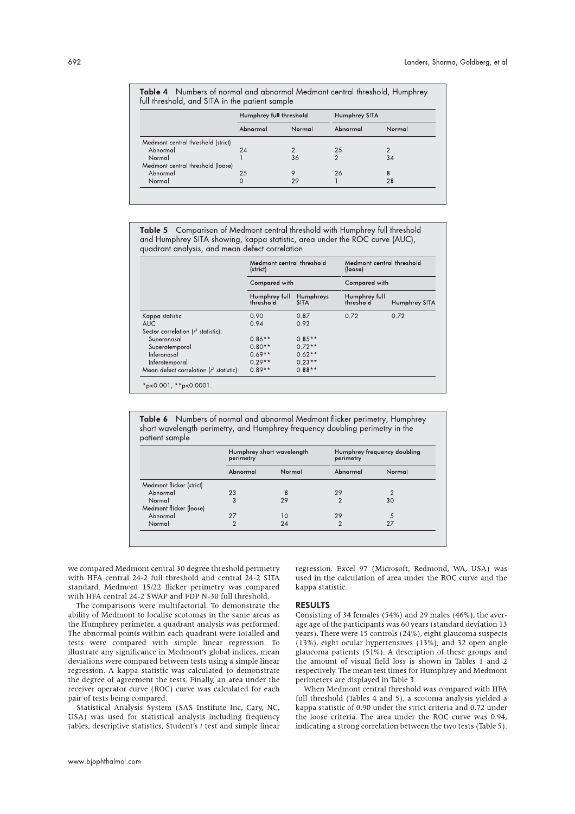|                                    | Humphrey full threshold |        | Humphrey SITA |        |
|------------------------------------|-------------------------|--------|---------------|--------|
|                                    | Abnormal                | Normal | Abnormal      | Normal |
| Medmont central threshold (strict) |                         |        |               |        |
| Abnormal                           | 24                      |        | 25            |        |
| Normal                             |                         | 36     | 2             | 34     |
| Medmont central threshold (loose)  |                         |        |               |        |
| Abnormal                           | 25                      | 9      | 26            | 8      |
| Normal                             |                         | 29     |               | 28     |

Table 5 Comparison of Medmont central threshold with Humphrey full threshold and Humphrey SITA showing, kappa statistic, area under the ROC curve (AUC), quadrant analysis, and mean defect correlation

|                                            | Medmont central threshold<br>(strict)<br>Compared with |                          | Medmont central threshold<br>(loose)<br>Compared with |               |
|--------------------------------------------|--------------------------------------------------------|--------------------------|-------------------------------------------------------|---------------|
|                                            |                                                        |                          |                                                       |               |
|                                            | Humphrey full<br>threshold                             | Humphreys<br><b>SITA</b> | Humphrey full<br>threshold                            | Humphrey SITA |
| Kappa statistic                            | 0.90                                                   | 0.87                     | 0.72                                                  | 0.72          |
| <b>AUC</b>                                 | 0.94                                                   | 0.92                     |                                                       |               |
| Sector correlation ( $r^2$ statistic):     |                                                        |                          |                                                       |               |
| Superonasal                                | $0.86**$                                               | $0.85**$                 |                                                       |               |
| Superotemporal                             | $0.80**$                                               | $0.72**$                 |                                                       |               |
| Inferonasal                                | $0.69**$                                               | $0.62**$                 |                                                       |               |
| Inferotemporal                             | $0.29**$                                               | $0.23**$                 |                                                       |               |
| Mean defect correlation $(r^2$ statistic): | $0.89**$                                               | $0.88**$                 |                                                       |               |

Table 6 Numbers of normal and abnormal Medmont flicker perimetry, Humphrey short wavelength perimetry, and Humphrey frequency doubling perimetry in the patient sample

|                          | Humphrey short wavelength<br>perimetry |        | Humphrey frequency doubling<br>perimetry |        |
|--------------------------|----------------------------------------|--------|------------------------------------------|--------|
|                          | Abnormal                               | Normal | Abnormal                                 | Normal |
| Medmont flicker (strict) |                                        |        |                                          |        |
| Abnormal                 | 23                                     | 8      | 29                                       |        |
| Normal                   | 3                                      | 29     | 2                                        | 30     |
| Medmont flicker (loose)  |                                        |        |                                          |        |
| Abnormal                 | 27                                     | 10     | 29                                       |        |
| Normal                   | 2                                      | 24     | ◠                                        | 27     |

we compared Medmont central 30 degree threshold perimetry with HFA central 24-2 full threshold and central 24-2 SITA standard. Medmont 15/22 flicker perimetry was compared with HFA central 24-2 SWAP and FDP N-30 full threshold.

The comparisons were multifactorial. To demonstrate the ability of Medmont to localise scotomas in the same areas as the Humphrey perimeter, a quadrant analysis was performed. The abnormal points within each quadrant were totalled and tests were compared with simple linear regression. To illustrate any significance in Medmont's global indices, mean deviations were compared between tests using a simple linear regression. A kappa statistic was calculated to demonstrate the degree of agreement the tests. Finally, an area under the receiver operator curve (ROC) curve was calculated for each pair of tests being compared.

Statistical Analysis System (SAS Institute Inc, Cary, NC, USA) was used for statistical analysis including frequency tables, descriptive statistics, Student's  $t$  test and simple linear regression. Excel 97 (Microsoft, Redmond, WA, USA) was used in the calculation of area under the ROC curve and the kappa statistic.

#### **RESULTS**

Consisting of 34 females (54%) and 29 males (46%), the average age of the participants was 60 years (standard deviation 13 years). There were 15 controls (24%), eight glaucoma suspects (13%), eight ocular hypertensives (13%), and 32 open angle glaucoma patients  $(51\%)$ . A description of these groups and the amount of visual field loss is shown in Tables 1 and 2 respectively. The mean test times for Humphrey and Medmont perimeters are displayed in Table 3.

When Medmont central threshold was compared with HFA full threshold (Tables 4 and 5), a scotoma analysis yielded a kappa statistic of 0.90 under the strict criteria and 0.72 under the loose criteria. The area under the ROC curve was 0.94. indicating a strong correlation between the two tests (Table 5).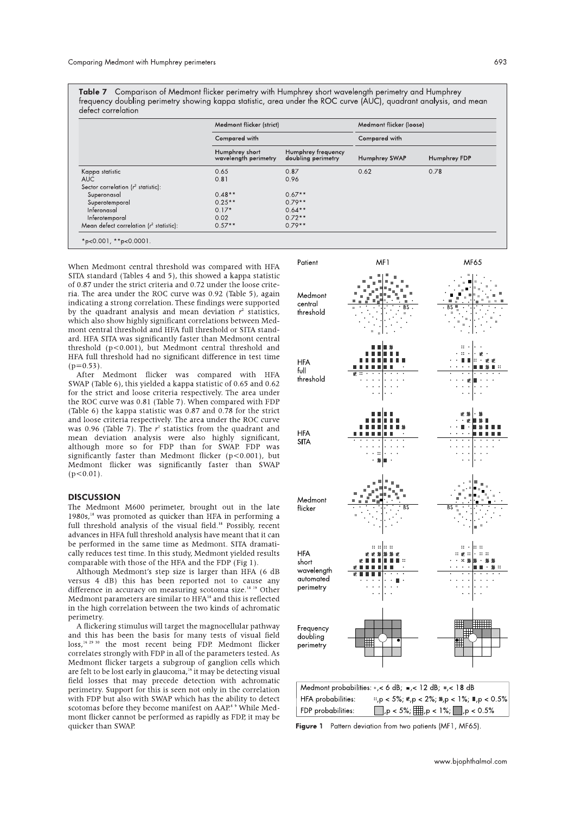Comparison of Medmont flicker perimetry with Humphrey short wavelength perimetry and Humphrey frequency doubling perimetry showing kappa statistic, area under the ROC curve (AUC), quadrant analysis, and mean defect correlation

| Compared with                          |                                          |               |              |  |
|----------------------------------------|------------------------------------------|---------------|--------------|--|
|                                        |                                          | Compared with |              |  |
| Humphrey short<br>wavelength perimetry | Humphrey frequency<br>doubling perimetry | Humphrey SWAP | Humphrey FDP |  |
| 0.65                                   | 0.87                                     | 0.62          | 0.78         |  |
| 0.81                                   | 0.96                                     |               |              |  |
|                                        |                                          |               |              |  |
| $0.48**$                               | $0.67**$                                 |               |              |  |
| $0.25**$                               | $0.79**$                                 |               |              |  |
| $0.17*$                                | $0.64**$                                 |               |              |  |
| 0.02                                   | $0.72**$                                 |               |              |  |
| $0.57**$                               | $0.79**$                                 |               |              |  |
|                                        |                                          |               |              |  |

When Medmont central threshold was compared with HFA SITA standard (Tables 4 and 5), this showed a kappa statistic of  $0.87$  under the strict criteria and  $0.72$  under the loose criteria. The area under the ROC curve was  $0.92$  (Table 5), again Interotemporal<br>
Mean defect correlation ( $t^2$  statistic):  $0.57**$ <br>  $*_{P}<0.001$ ,  $**_{P}<0.0001$ .<br>
Nean defect correlation ( $t^2$  statistic):  $0.57**$ <br>
The standard (Tables 4 and 5), this showed a ka<br>
0.87 under the strict c indicating a strong correlation. These findings were supported by the quadrant analysis and mean deviation  $r^2$  statistics, which also show highly significant correlations between Medmont central threshold and HFA full threshold or SITA standard. HFA SITA was significantly faster than Medmont central  $\frac{1}{2}$  threshold  $(p<0.001)$ , but Medmont central threshold and HFA full threshold had no significant difference in test time

 $($ p=0.53).<br>After Medmont flicker was compared with HFA  $SWAP$  (Table 6), this yielded a kappa statistic of 0.65 and 0.62 for the strict and loose criteria respectively. The area under the ROC curve was  $0.81$  (Table 7). When compared with FDP  $\,$ mont central threshold and 1<br>ard. HFA SITA was significar<br>threshold (p<0.001), but M<br>HFA full threshold had no s<br>(p=0.53).<br>After Medmont flicker<br>SWAP (Table 6), this yielded<br>for the strict and loose crite<br>the ROC curve wa (Table 6) the kappa statistic was  $0.87$  and  $0.78$  for the strict and loose criteria respectively. The area under the ROC curve Iedmont central threshold and<br>gnificant difference in test time<br>was compared with HFA<br>happa statistic of 0.65 and 0.62<br>ria respectively. The area under<br> $P$  7. When compared with FDP<br>was 0.87 and 0.78 for the strict<br>v.The a was 0.96 (Table 7). The  $r^2$  statistics from the quadrant and mean deviation analysis were also highly significant, although more so for FDP than for SWAP. FDP was  $\frac{1}{2}$  significantly faster than Medmont flicker (p<0.001), but Medmont flicker was significantly faster than SWAP  $(p < 0.01)$ .

### **DISCUSSION**

The Medmont M600 perimeter, brought out in the late  $1980s$ ,<sup>18</sup> was promoted as quicker than HFA in performing a full threshold analysis of the visual field.<sup>18</sup> Possibly, recent advances in HFA full threshold analysis have meant that it can be performed in the same time as Medmont. SITA dramatically reduces test time. In this study, Medmont yielded results comparable with those of the HFA and the I

mparable with those of the HFA and the FDP (Fig 1).<br>Although Medmont's step size is larger than HFA (6 dB) versus 4 dB) this has been reported not to cause any difference in accuracy on measuring scotoma size. " " Other Medmont parameters are similar to HFA<sup>18</sup> and this is reflected in the high correlation between the two kinds of achromatic perimetry.

rimetry.<br>A flickering stimulus will target the magnocellular pathway and this has been the basis for many tests of visual field  $\cos s$ <sup>16 29 30</sup> the most recent being FDP. Medmont flicker correlates strongly with FDP in all of the parameters tested. As Medmont flicker targets a subgroup of ganglion cells which are felt to be lost early in glaucoma,  $\cdot$  it may be detecting visual field losses that may precede detection with achromatic perimetry. Support for this is seen not only in the correlation with FDP but also with SWAP which has the ability to detect scotomas before they become manifest on AAP<sup>8</sup><sup>9</sup> While Medmont flicker cannot be performed as rapidly as FDP, it may be quicker than SWAP.



Figure 1 Pattern deviation from two patients (MF1, MF65)